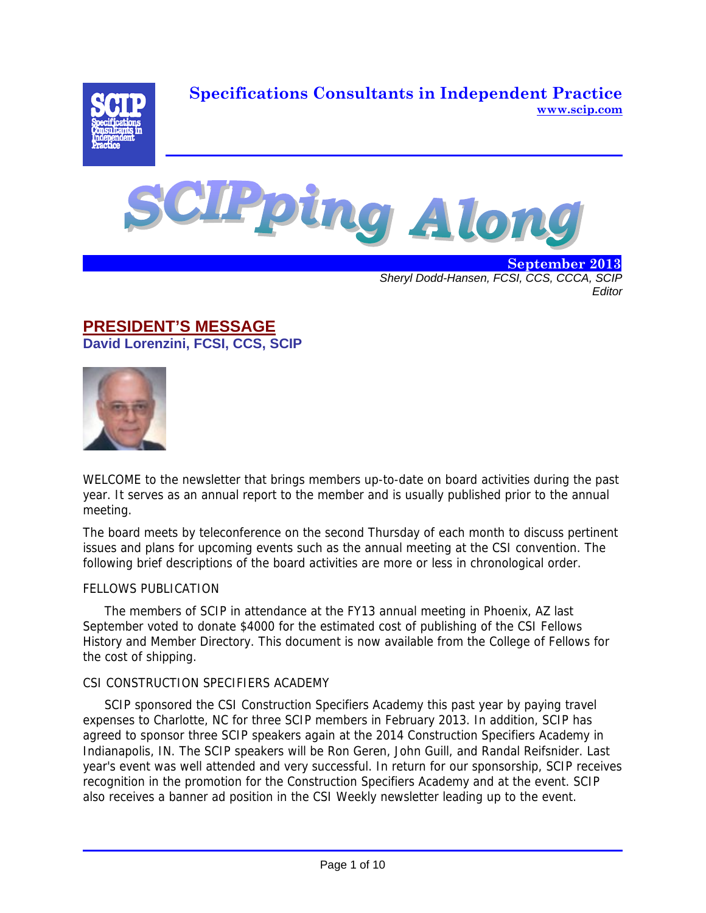**Specifications Consultants in Independent Practice www.scip.com**





 **September 2013** *Sheryl Dodd-Hansen, FCSI, CCS, CCCA, SCIP Editor* 

### **PRESIDENT'S MESSAGE David Lorenzini, FCSI, CCS, SCIP**



WELCOME to the newsletter that brings members up-to-date on board activities during the past year. It serves as an annual report to the member and is usually published prior to the annual meeting.

The board meets by teleconference on the second Thursday of each month to discuss pertinent issues and plans for upcoming events such as the annual meeting at the CSI convention. The following brief descriptions of the board activities are more or less in chronological order.

### FELLOWS PUBLICATION

The members of SCIP in attendance at the FY13 annual meeting in Phoenix, AZ last September voted to donate \$4000 for the estimated cost of publishing of the CSI Fellows History and Member Directory. This document is now available from the College of Fellows for the cost of shipping.

### CSI CONSTRUCTION SPECIFIERS ACADEMY

SCIP sponsored the CSI Construction Specifiers Academy this past year by paying travel expenses to Charlotte, NC for three SCIP members in February 2013. In addition, SCIP has agreed to sponsor three SCIP speakers again at the 2014 Construction Specifiers Academy in Indianapolis, IN. The SCIP speakers will be Ron Geren, John Guill, and Randal Reifsnider. Last year's event was well attended and very successful. In return for our sponsorship, SCIP receives recognition in the promotion for the Construction Specifiers Academy and at the event. SCIP also receives a banner ad position in the CSI Weekly newsletter leading up to the event.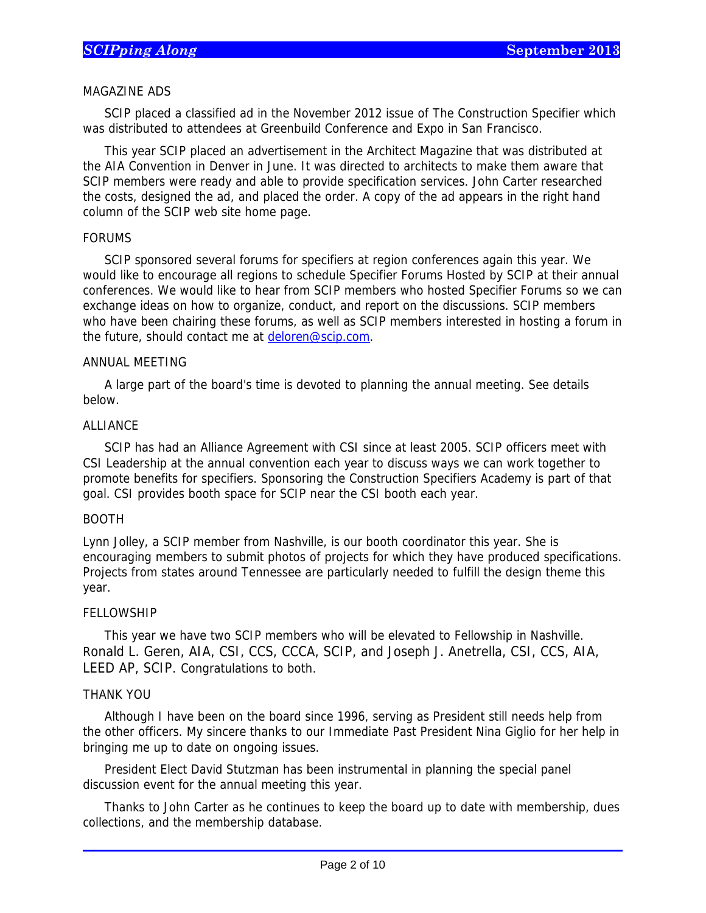### MAGAZINE ADS

SCIP placed a classified ad in the November 2012 issue of The Construction Specifier which was distributed to attendees at Greenbuild Conference and Expo in San Francisco.

This year SCIP placed an advertisement in the Architect Magazine that was distributed at the AIA Convention in Denver in June. It was directed to architects to make them aware that SCIP members were ready and able to provide specification services. John Carter researched the costs, designed the ad, and placed the order. A copy of the ad appears in the right hand column of the SCIP web site home page.

### FORUMS

SCIP sponsored several forums for specifiers at region conferences again this year. We would like to encourage all regions to schedule Specifier Forums Hosted by SCIP at their annual conferences. We would like to hear from SCIP members who hosted Specifier Forums so we can exchange ideas on how to organize, conduct, and report on the discussions. SCIP members who have been chairing these forums, as well as SCIP members interested in hosting a forum in the future, should contact me at deloren@scip.com.

### ANNUAL MEETING

A large part of the board's time is devoted to planning the annual meeting. See details below.

### ALLIANCE

SCIP has had an Alliance Agreement with CSI since at least 2005. SCIP officers meet with CSI Leadership at the annual convention each year to discuss ways we can work together to promote benefits for specifiers. Sponsoring the Construction Specifiers Academy is part of that goal. CSI provides booth space for SCIP near the CSI booth each year.

#### BOOTH

Lynn Jolley, a SCIP member from Nashville, is our booth coordinator this year. She is encouraging members to submit photos of projects for which they have produced specifications. Projects from states around Tennessee are particularly needed to fulfill the design theme this year.

#### FELLOWSHIP

This year we have two SCIP members who will be elevated to Fellowship in Nashville. Ronald L. Geren, AIA, CSI, CCS, CCCA, SCIP, and Joseph J. Anetrella, CSI, CCS, AIA, LEED AP, SCIP. Congratulations to both.

### THANK YOU

 $\overline{a}$ 

Although I have been on the board since 1996, serving as President still needs help from the other officers. My sincere thanks to our Immediate Past President Nina Giglio for her help in bringing me up to date on ongoing issues.

President Elect David Stutzman has been instrumental in planning the special panel discussion event for the annual meeting this year.

Thanks to John Carter as he continues to keep the board up to date with membership, dues collections, and the membership database.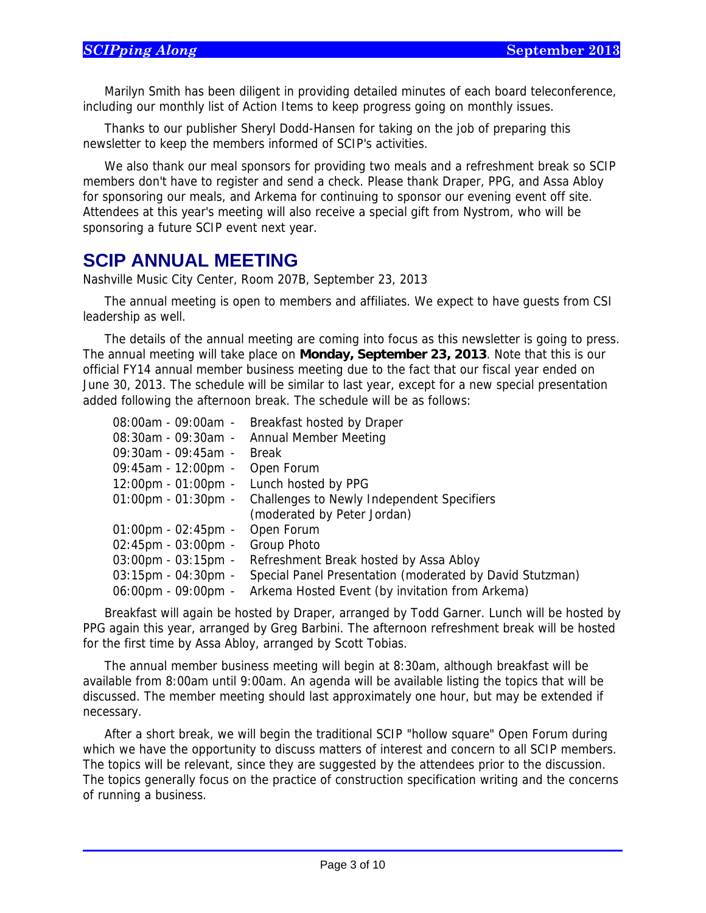$\overline{a}$ 

Marilyn Smith has been diligent in providing detailed minutes of each board teleconference, including our monthly list of Action Items to keep progress going on monthly issues.

Thanks to our publisher Sheryl Dodd-Hansen for taking on the job of preparing this newsletter to keep the members informed of SCIP's activities.

We also thank our meal sponsors for providing two meals and a refreshment break so SCIP members don't have to register and send a check. Please thank Draper, PPG, and Assa Abloy for sponsoring our meals, and Arkema for continuing to sponsor our evening event off site. Attendees at this year's meeting will also receive a special gift from Nystrom, who will be sponsoring a future SCIP event next year.

# **SCIP ANNUAL MEETING**

Nashville Music City Center, Room 207B, September 23, 2013

The annual meeting is open to members and affiliates. We expect to have guests from CSI leadership as well.

The details of the annual meeting are coming into focus as this newsletter is going to press. The annual meeting will take place on **Monday, September 23, 2013**. Note that this is our official FY14 annual member business meeting due to the fact that our fiscal year ended on June 30, 2013. The schedule will be similar to last year, except for a new special presentation added following the afternoon break. The schedule will be as follows:

| 08:00am - 09:00am -                   | Breakfast hosted by Draper                               |
|---------------------------------------|----------------------------------------------------------|
| $08:30$ am - 09:30am -                | Annual Member Meeting                                    |
| $09:30$ am - 09:45am -                | <b>Break</b>                                             |
| $09:45am - 12:00pm -$                 | Open Forum                                               |
| $12:00 \text{pm} - 01:00 \text{pm} -$ | Lunch hosted by PPG                                      |
| $01:00$ pm - $01:30$ pm -             | Challenges to Newly Independent Specifiers               |
|                                       | (moderated by Peter Jordan)                              |
| $01:00 \text{pm} - 02:45 \text{pm} -$ | Open Forum                                               |
| $02:45$ pm - 03:00pm -                | Group Photo                                              |
| $03:00 \text{pm} - 03:15 \text{pm} -$ | Refreshment Break hosted by Assa Abloy                   |
| $03:15$ pm - $04:30$ pm -             | Special Panel Presentation (moderated by David Stutzman) |
| $06:00 \text{pm} - 09:00 \text{pm} -$ | Arkema Hosted Event (by invitation from Arkema)          |

Breakfast will again be hosted by Draper, arranged by Todd Garner. Lunch will be hosted by PPG again this year, arranged by Greg Barbini. The afternoon refreshment break will be hosted for the first time by Assa Abloy, arranged by Scott Tobias.

The annual member business meeting will begin at 8:30am, although breakfast will be available from 8:00am until 9:00am. An agenda will be available listing the topics that will be discussed. The member meeting should last approximately one hour, but may be extended if necessary.

After a short break, we will begin the traditional SCIP "hollow square" Open Forum during which we have the opportunity to discuss matters of interest and concern to all SCIP members. The topics will be relevant, since they are suggested by the attendees prior to the discussion. The topics generally focus on the practice of construction specification writing and the concerns of running a business.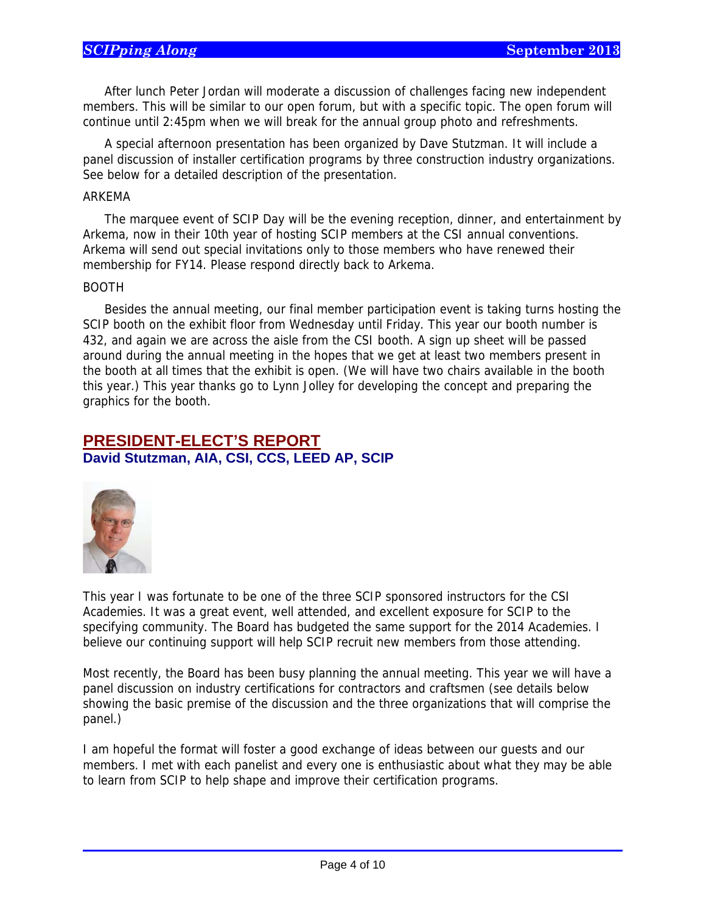After lunch Peter Jordan will moderate a discussion of challenges facing new independent members. This will be similar to our open forum, but with a specific topic. The open forum will continue until 2:45pm when we will break for the annual group photo and refreshments.

A special afternoon presentation has been organized by Dave Stutzman. It will include a panel discussion of installer certification programs by three construction industry organizations. See below for a detailed description of the presentation.

#### ARKEMA

The marquee event of SCIP Day will be the evening reception, dinner, and entertainment by Arkema, now in their 10th year of hosting SCIP members at the CSI annual conventions. Arkema will send out special invitations only to those members who have renewed their membership for FY14. Please respond directly back to Arkema.

#### BOOTH

Besides the annual meeting, our final member participation event is taking turns hosting the SCIP booth on the exhibit floor from Wednesday until Friday. This year our booth number is 432, and again we are across the aisle from the CSI booth. A sign up sheet will be passed around during the annual meeting in the hopes that we get at least two members present in the booth at all times that the exhibit is open. (We will have two chairs available in the booth this year.) This year thanks go to Lynn Jolley for developing the concept and preparing the graphics for the booth.

### **PRESIDENT-ELECT'S REPORT David Stutzman, AIA, CSI, CCS, LEED AP, SCIP**



 $\overline{a}$ 

This year I was fortunate to be one of the three SCIP sponsored instructors for the CSI Academies. It was a great event, well attended, and excellent exposure for SCIP to the specifying community. The Board has budgeted the same support for the 2014 Academies. I believe our continuing support will help SCIP recruit new members from those attending.

Most recently, the Board has been busy planning the annual meeting. This year we will have a panel discussion on industry certifications for contractors and craftsmen (see details below showing the basic premise of the discussion and the three organizations that will comprise the panel.)

I am hopeful the format will foster a good exchange of ideas between our guests and our members. I met with each panelist and every one is enthusiastic about what they may be able to learn from SCIP to help shape and improve their certification programs.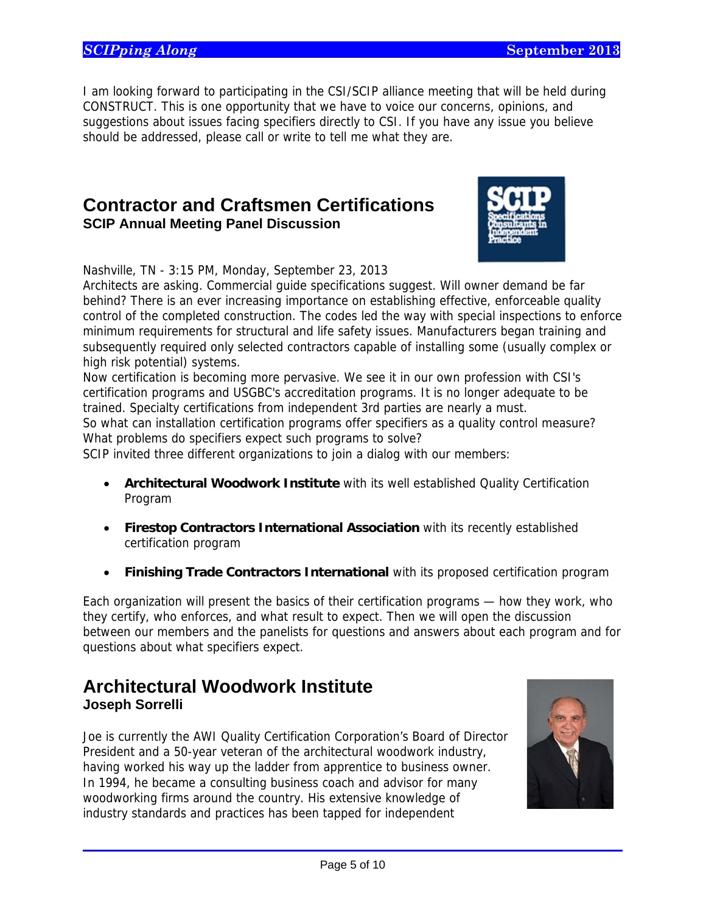I am looking forward to participating in the CSI/SCIP alliance meeting that will be held during CONSTRUCT. This is one opportunity that we have to voice our concerns, opinions, and suggestions about issues facing specifiers directly to CSI. If you have any issue you believe should be addressed, please call or write to tell me what they are.

## **Contractor and Craftsmen Certifications SCIP Annual Meeting Panel Discussion**



Nashville, TN - 3:15 PM, Monday, September 23, 2013

Architects are asking. Commercial guide specifications suggest. Will owner demand be far behind? There is an ever increasing importance on establishing effective, enforceable quality control of the completed construction. The codes led the way with special inspections to enforce minimum requirements for structural and life safety issues. Manufacturers began training and subsequently required only selected contractors capable of installing some (usually complex or high risk potential) systems.

Now certification is becoming more pervasive. We see it in our own profession with CSI's certification programs and USGBC's accreditation programs. It is no longer adequate to be trained. Specialty certifications from independent 3rd parties are nearly a must.

So what can installation certification programs offer specifiers as a quality control measure? What problems do specifiers expect such programs to solve?

SCIP invited three different organizations to join a dialog with our members:

- **Architectural Woodwork Institute** with its well established Quality Certification Program
- **Firestop Contractors International Association** with its recently established certification program
- **Finishing Trade Contractors International** with its proposed certification program

Each organization will present the basics of their certification programs — how they work, who they certify, who enforces, and what result to expect. Then we will open the discussion between our members and the panelists for questions and answers about each program and for questions about what specifiers expect.

# **Architectural Woodwork Institute Joseph Sorrelli**

 $\overline{a}$ 

Joe is currently the AWI Quality Certification Corporation's Board of Director President and a 50-year veteran of the architectural woodwork industry, having worked his way up the ladder from apprentice to business owner. In 1994, he became a consulting business coach and advisor for many woodworking firms around the country. His extensive knowledge of industry standards and practices has been tapped for independent

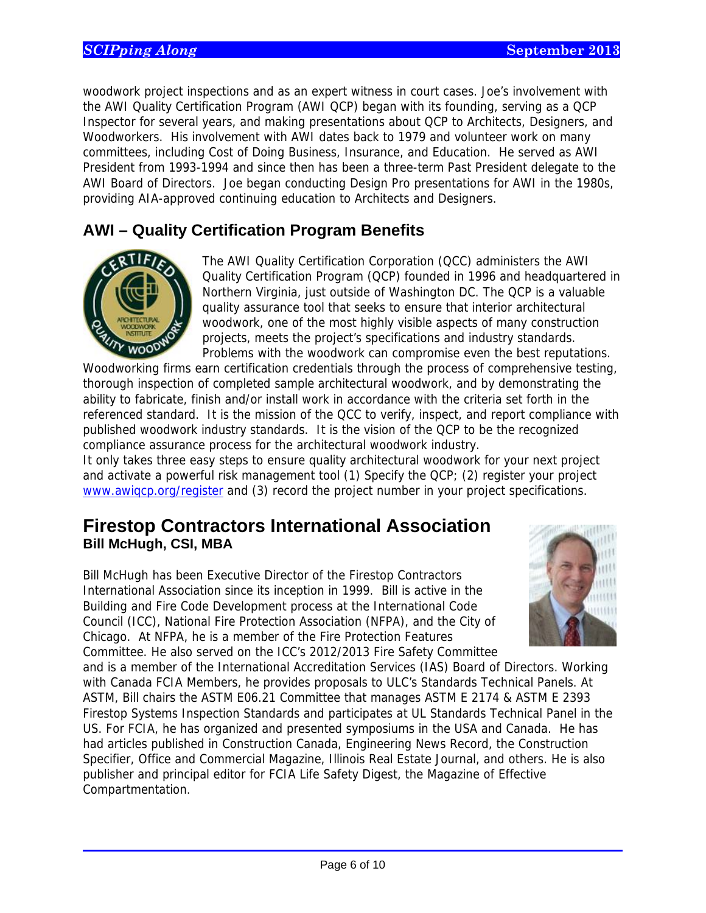woodwork project inspections and as an expert witness in court cases. Joe's involvement with the AWI Quality Certification Program (AWI QCP) began with its founding, serving as a QCP Inspector for several years, and making presentations about QCP to Architects, Designers, and Woodworkers. His involvement with AWI dates back to 1979 and volunteer work on many committees, including Cost of Doing Business, Insurance, and Education. He served as AWI President from 1993-1994 and since then has been a three-term Past President delegate to the AWI Board of Directors. Joe began conducting Design Pro presentations for AWI in the 1980s, providing AIA-approved continuing education to Architects and Designers.

# **AWI – Quality Certification Program Benefits**



 $\overline{a}$ 

The AWI Quality Certification Corporation (QCC) administers the AWI Quality Certification Program (QCP) founded in 1996 and headquartered in Northern Virginia, just outside of Washington DC. The QCP is a valuable quality assurance tool that seeks to ensure that interior architectural woodwork, one of the most highly visible aspects of many construction projects, meets the project's specifications and industry standards. Problems with the woodwork can compromise even the best reputations.

Woodworking firms earn certification credentials through the process of comprehensive testing, thorough inspection of completed sample architectural woodwork, and by demonstrating the ability to fabricate, finish and/or install work in accordance with the criteria set forth in the referenced standard. It is the mission of the QCC to verify, inspect, and report compliance with published woodwork industry standards. It is the vision of the QCP to be the recognized compliance assurance process for the architectural woodwork industry.

It only takes three easy steps to ensure quality architectural woodwork for your next project and activate a powerful risk management tool (1) Specify the QCP; (2) register your project www.awiqcp.org/register and (3) record the project number in your project specifications.

## **Firestop Contractors International Association Bill McHugh, CSI, MBA**

Bill McHugh has been Executive Director of the Firestop Contractors International Association since its inception in 1999. Bill is active in the Building and Fire Code Development process at the International Code Council (ICC), National Fire Protection Association (NFPA), and the City of Chicago. At NFPA, he is a member of the Fire Protection Features Committee. He also served on the ICC's 2012/2013 Fire Safety Committee



and is a member of the International Accreditation Services (IAS) Board of Directors. Working with Canada FCIA Members, he provides proposals to ULC's Standards Technical Panels. At ASTM, Bill chairs the ASTM E06.21 Committee that manages ASTM E 2174 & ASTM E 2393 Firestop Systems Inspection Standards and participates at UL Standards Technical Panel in the US. For FCIA, he has organized and presented symposiums in the USA and Canada. He has had articles published in Construction Canada, Engineering News Record, the Construction Specifier, Office and Commercial Magazine, Illinois Real Estate Journal, and others. He is also publisher and principal editor for FCIA Life Safety Digest, the Magazine of Effective Compartmentation.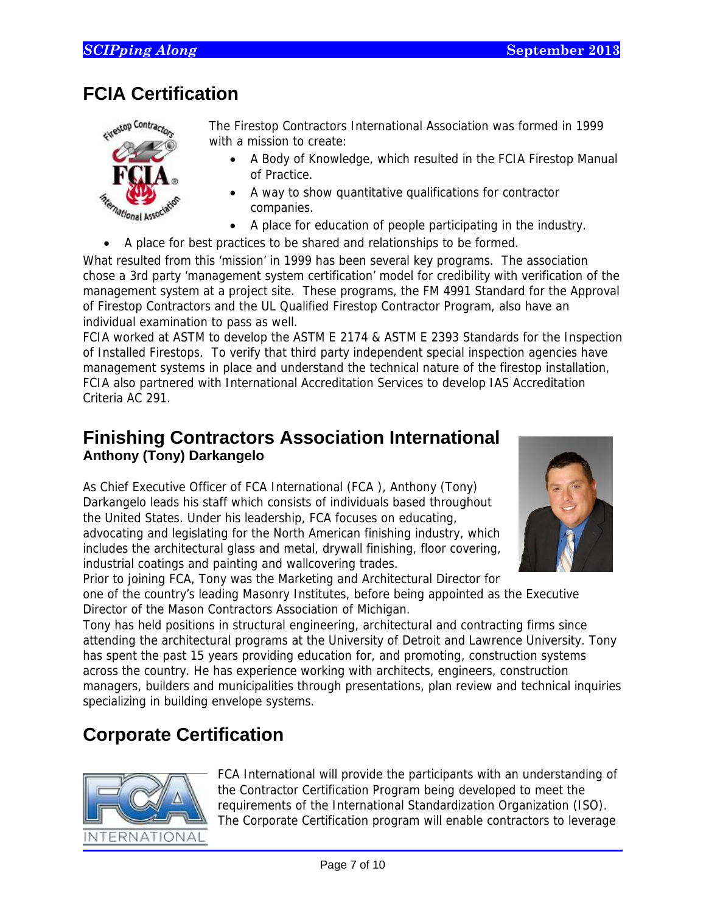# **FCIA Certification**



The Firestop Contractors International Association was formed in 1999 with a mission to create:

- A Body of Knowledge, which resulted in the FCIA Firestop Manual of Practice.
- A way to show quantitative qualifications for contractor companies.
- A place for education of people participating in the industry.
- A place for best practices to be shared and relationships to be formed.

What resulted from this 'mission' in 1999 has been several key programs. The association chose a 3rd party 'management system certification' model for credibility with verification of the management system at a project site. These programs, the FM 4991 Standard for the Approval of Firestop Contractors and the UL Qualified Firestop Contractor Program, also have an individual examination to pass as well.

FCIA worked at ASTM to develop the ASTM E 2174 & ASTM E 2393 Standards for the Inspection of Installed Firestops. To verify that third party independent special inspection agencies have management systems in place and understand the technical nature of the firestop installation, FCIA also partnered with International Accreditation Services to develop IAS Accreditation Criteria AC 291.

# **Finishing Contractors Association International Anthony (Tony) Darkangelo**

As Chief Executive Officer of FCA International (FCA ), Anthony (Tony) Darkangelo leads his staff which consists of individuals based throughout the United States. Under his leadership, FCA focuses on educating, advocating and legislating for the North American finishing industry, which includes the architectural glass and metal, drywall finishing, floor covering, industrial coatings and painting and wallcovering trades.



Prior to joining FCA, Tony was the Marketing and Architectural Director for one of the country's leading Masonry Institutes, before being appointed as the Executive Director of the Mason Contractors Association of Michigan.

Tony has held positions in structural engineering, architectural and contracting firms since attending the architectural programs at the University of Detroit and Lawrence University. Tony has spent the past 15 years providing education for, and promoting, construction systems across the country. He has experience working with architects, engineers, construction managers, builders and municipalities through presentations, plan review and technical inquiries specializing in building envelope systems.

# **Corporate Certification**



FCA International will provide the participants with an understanding of the Contractor Certification Program being developed to meet the requirements of the International Standardization Organization (ISO). The Corporate Certification program will enable contractors to leverage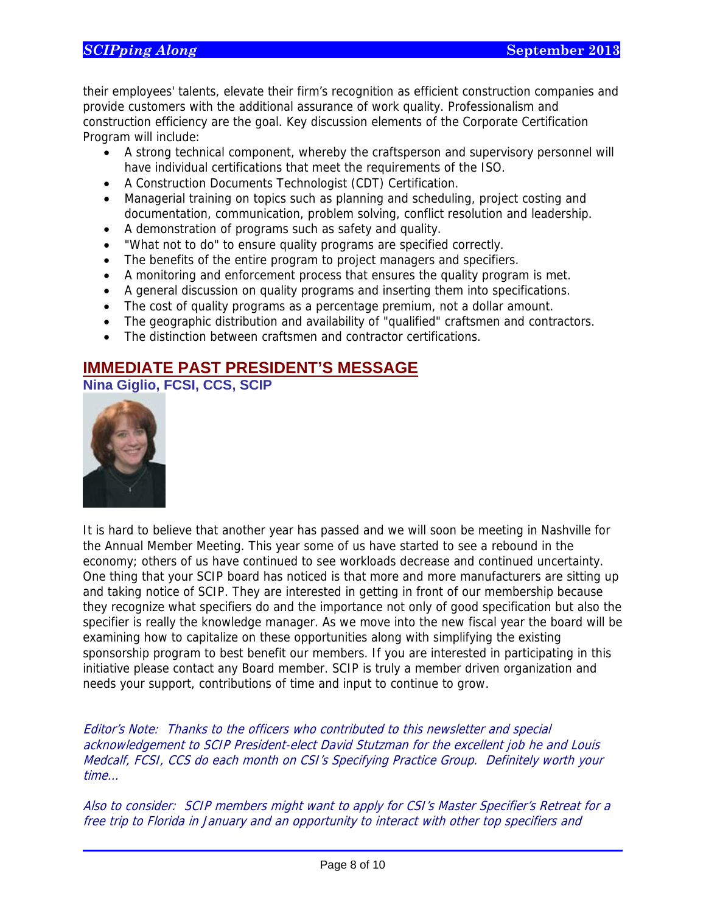### **SCIPping Along September 2013**

their employees' talents, elevate their firm's recognition as efficient construction companies and provide customers with the additional assurance of work quality. Professionalism and construction efficiency are the goal. Key discussion elements of the Corporate Certification Program will include:

- A strong technical component, whereby the craftsperson and supervisory personnel will have individual certifications that meet the requirements of the ISO.
- A Construction Documents Technologist (CDT) Certification.
- Managerial training on topics such as planning and scheduling, project costing and documentation, communication, problem solving, conflict resolution and leadership.
- A demonstration of programs such as safety and quality.
- "What not to do" to ensure quality programs are specified correctly.
- The benefits of the entire program to project managers and specifiers.
- A monitoring and enforcement process that ensures the quality program is met.
- A general discussion on quality programs and inserting them into specifications.
- The cost of quality programs as a percentage premium, not a dollar amount.
- The geographic distribution and availability of "qualified" craftsmen and contractors.
- The distinction between craftsmen and contractor certifications.

### **IMMEDIATE PAST PRESIDENT'S MESSAGE**

**Nina Giglio, FCSI, CCS, SCIP** 



 $\overline{a}$ 

It is hard to believe that another year has passed and we will soon be meeting in Nashville for the Annual Member Meeting. This year some of us have started to see a rebound in the economy; others of us have continued to see workloads decrease and continued uncertainty. One thing that your SCIP board has noticed is that more and more manufacturers are sitting up and taking notice of SCIP. They are interested in getting in front of our membership because they recognize what specifiers do and the importance not only of good specification but also the specifier is really the knowledge manager. As we move into the new fiscal year the board will be examining how to capitalize on these opportunities along with simplifying the existing sponsorship program to best benefit our members. If you are interested in participating in this initiative please contact any Board member. SCIP is truly a member driven organization and needs your support, contributions of time and input to continue to grow.

Editor's Note: Thanks to the officers who contributed to this newsletter and special acknowledgement to SCIP President-elect David Stutzman for the excellent job he and Louis Medcalf, FCSI, CCS do each month on CSI's Specifying Practice Group. Definitely worth your time…

Also to consider: SCIP members might want to apply for CSI's Master Specifier's Retreat for a free trip to Florida in January and an opportunity to interact with other top specifiers and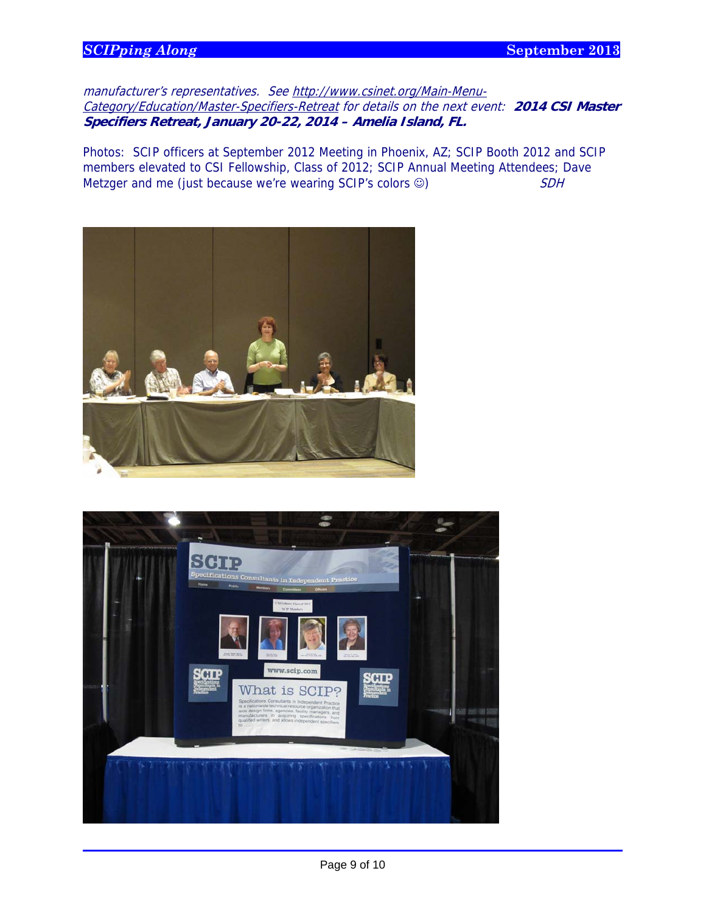### **SCIPping Along September 2013**

 $\overline{a}$ 

manufacturer's representatives. See http://www.csinet.org/Main-Menu-Category/Education/Master-Specifiers-Retreat for details on the next event: **2014 CSI Master Specifiers Retreat, January 20-22, 2014 – Amelia Island, FL.**

Photos: SCIP officers at September 2012 Meeting in Phoenix, AZ; SCIP Booth 2012 and SCIP members elevated to CSI Fellowship, Class of 2012; SCIP Annual Meeting Attendees; Dave Metzger and me (just because we're wearing SCIP's colors  $\circledcirc$ )  $SDH$